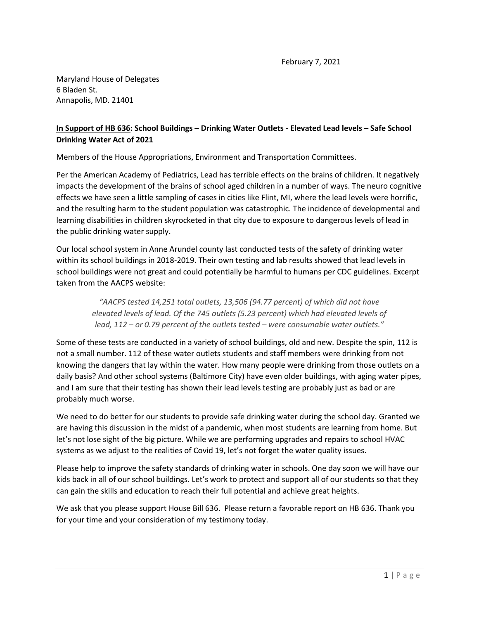Maryland House of Delegates 6 Bladen St. Annapolis, MD. 21401

## **In Support of HB 636: School Buildings – Drinking Water Outlets - Elevated Lead levels – Safe School Drinking Water Act of 2021**

Members of the House Appropriations, Environment and Transportation Committees.

Per the American Academy of Pediatrics, Lead has terrible effects on the brains of children. It negatively impacts the development of the brains of school aged children in a number of ways. The neuro cognitive effects we have seen a little sampling of cases in cities like Flint, MI, where the lead levels were horrific, and the resulting harm to the student population was catastrophic. The incidence of developmental and learning disabilities in children skyrocketed in that city due to exposure to dangerous levels of lead in the public drinking water supply.

Our local school system in Anne Arundel county last conducted tests of the safety of drinking water within its school buildings in 2018-2019. Their own testing and lab results showed that lead levels in school buildings were not great and could potentially be harmful to humans per CDC guidelines. Excerpt taken from the AACPS website:

*"AACPS tested 14,251 total outlets, 13,506 (94.77 percent) of which did not have elevated levels of lead. Of the 745 outlets (5.23 percent) which had elevated levels of lead, 112 – or 0.79 percent of the outlets tested – were consumable water outlets."*

Some of these tests are conducted in a variety of school buildings, old and new. Despite the spin, 112 is not a small number. 112 of these water outlets students and staff members were drinking from not knowing the dangers that lay within the water. How many people were drinking from those outlets on a daily basis? And other school systems (Baltimore City) have even older buildings, with aging water pipes, and I am sure that their testing has shown their lead levels testing are probably just as bad or are probably much worse.

We need to do better for our students to provide safe drinking water during the school day. Granted we are having this discussion in the midst of a pandemic, when most students are learning from home. But let's not lose sight of the big picture. While we are performing upgrades and repairs to school HVAC systems as we adjust to the realities of Covid 19, let's not forget the water quality issues.

Please help to improve the safety standards of drinking water in schools. One day soon we will have our kids back in all of our school buildings. Let's work to protect and support all of our students so that they can gain the skills and education to reach their full potential and achieve great heights.

We ask that you please support House Bill 636. Please return a favorable report on HB 636. Thank you for your time and your consideration of my testimony today.